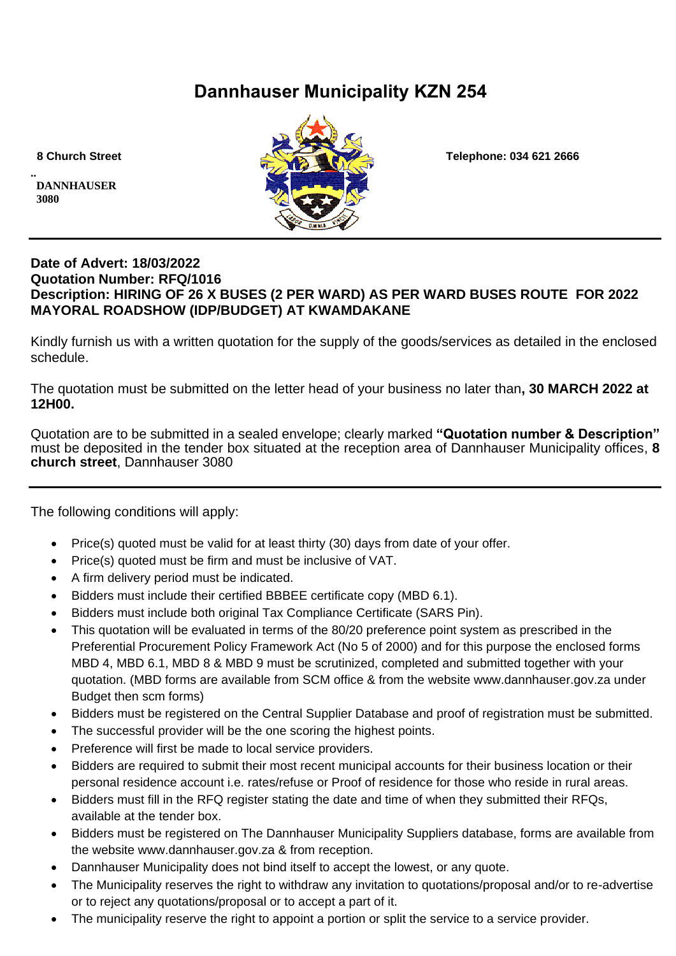## **Dannhauser Municipality KZN 254**

**.. DANNHAUSER 3080** 



 **8 Church Street Telephone: 034 621 2666**

#### **Date of Advert: 18/03/2022 Quotation Number: RFQ/1016 Description: HIRING OF 26 X BUSES (2 PER WARD) AS PER WARD BUSES ROUTE FOR 2022 MAYORAL ROADSHOW (IDP/BUDGET) AT KWAMDAKANE**

Kindly furnish us with a written quotation for the supply of the goods/services as detailed in the enclosed schedule.

The quotation must be submitted on the letter head of your business no later than**, 30 MARCH 2022 at 12H00.**

Quotation are to be submitted in a sealed envelope; clearly marked **"Quotation number & Description"** must be deposited in the tender box situated at the reception area of Dannhauser Municipality offices, **8 church street**, Dannhauser 3080

The following conditions will apply:

- Price(s) quoted must be valid for at least thirty (30) days from date of your offer.
- Price(s) quoted must be firm and must be inclusive of VAT.
- A firm delivery period must be indicated.
- Bidders must include their certified BBBEE certificate copy (MBD 6.1).
- Bidders must include both original Tax Compliance Certificate (SARS Pin).
- This quotation will be evaluated in terms of the 80/20 preference point system as prescribed in the Preferential Procurement Policy Framework Act (No 5 of 2000) and for this purpose the enclosed forms MBD 4, MBD 6.1, MBD 8 & MBD 9 must be scrutinized, completed and submitted together with your quotation. (MBD forms are available from SCM office & from the website www.dannhauser.gov.za under Budget then scm forms)
- Bidders must be registered on the Central Supplier Database and proof of registration must be submitted.
- The successful provider will be the one scoring the highest points.
- Preference will first be made to local service providers.
- Bidders are required to submit their most recent municipal accounts for their business location or their personal residence account i.e. rates/refuse or Proof of residence for those who reside in rural areas.
- Bidders must fill in the RFQ register stating the date and time of when they submitted their RFQs, available at the tender box.
- Bidders must be registered on The Dannhauser Municipality Suppliers database, forms are available from the website www.dannhauser.gov.za & from reception.
- Dannhauser Municipality does not bind itself to accept the lowest, or any quote.
- The Municipality reserves the right to withdraw any invitation to quotations/proposal and/or to re-advertise or to reject any quotations/proposal or to accept a part of it.
- The municipality reserve the right to appoint a portion or split the service to a service provider.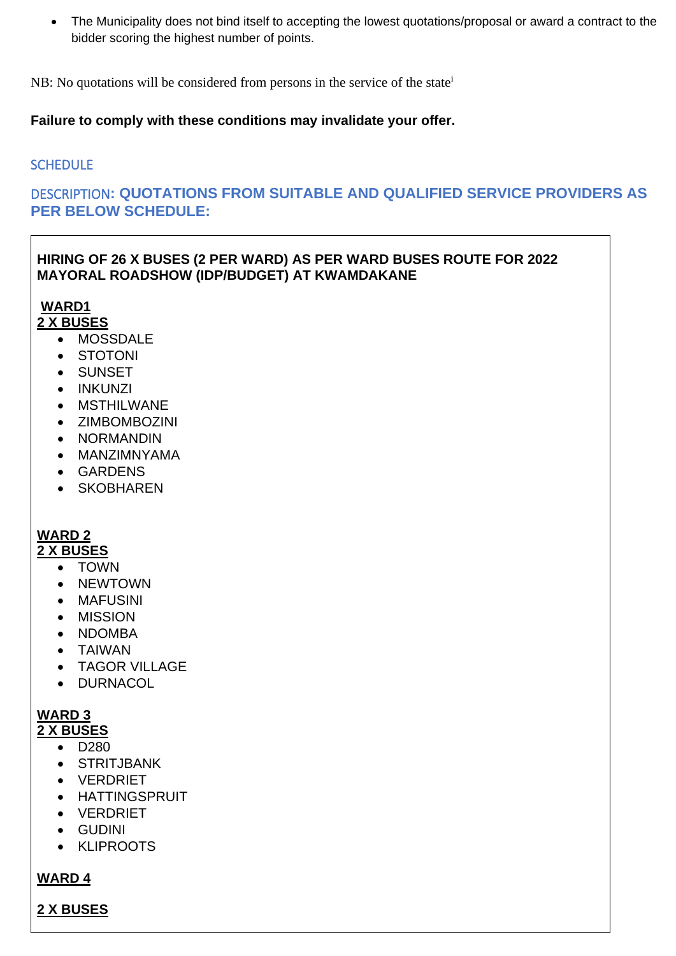• The Municipality does not bind itself to accepting the lowest quotations/proposal or award a contract to the bidder scoring the highest number of points.

NB: No quotations will be considered from persons in the service of the state<sup>i</sup>

#### **Failure to comply with these conditions may invalidate your offer.**

### **SCHEDULE**

### DESCRIPTION**: QUOTATIONS FROM SUITABLE AND QUALIFIED SERVICE PROVIDERS AS PER BELOW SCHEDULE:**

### **HIRING OF 26 X BUSES (2 PER WARD) AS PER WARD BUSES ROUTE FOR 2022 MAYORAL ROADSHOW (IDP/BUDGET) AT KWAMDAKANE**

#### **WARD1 2 X BUSES**

- MOSSDALE
- STOTONI
- SUNSET
- INKUNZI
- MSTHILWANE
- ZIMBOMBOZINI
- NORMANDIN
- MANZIMNYAMA
- GARDENS
- SKOBHAREN

# **WARD 2**

**2 X BUSES** 

- TOWN
- NEWTOWN
- MAFUSINI
- MISSION
- NDOMBA
- TAIWAN
- TAGOR VILLAGE
- DURNACOL

### **WARD 3**

**2 X BUSES** 

- D280
- STRITJBANK
- VERDRIET
- HATTINGSPRUIT
- VERDRIET
- GUDINI
- KLIPROOTS

### **WARD 4**

**2 X BUSES**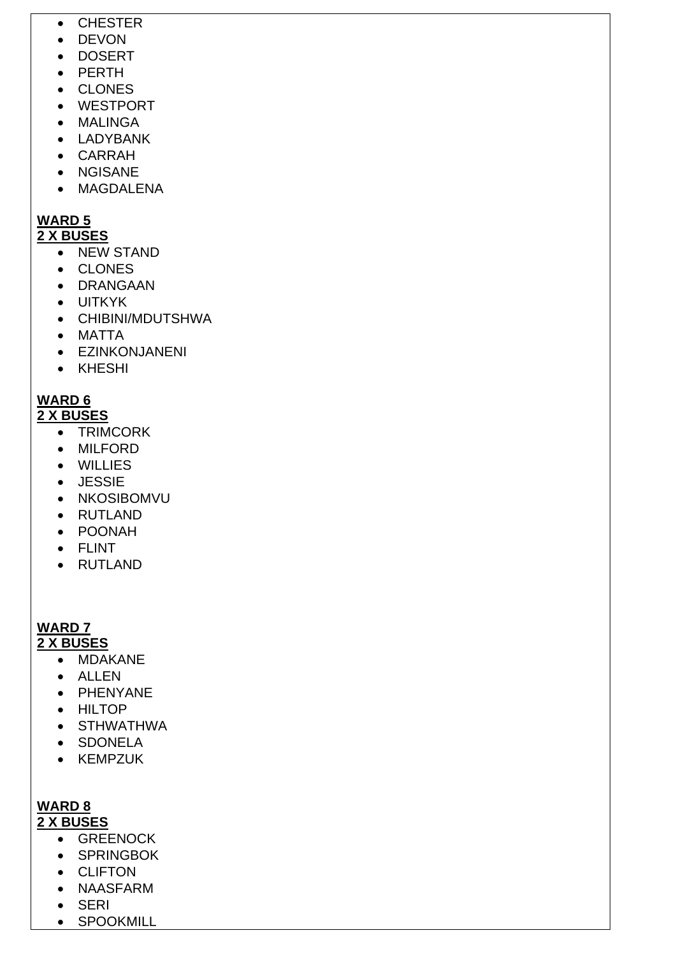- CHESTER
- DEVON
- DOSERT
- PERTH
- CLONES
- WESTPORT
- MALINGA
- LADYBANK
- CARRAH
- NGISANE
- MAGDALENA

## **WARD 5**

### **2 X BUSES**

- NEW STAND
- CLONES
- DRANGAAN
- UITKYK
- CHIBINI/MDUTSHWA
- MATTA
- EZINKONJANENI
- KHESHI

# **WARD 6**

### **2 X BUSES**

- TRIMCORK
- MILFORD
- WILLIES
- JESSIE
- NKOSIBOMVU
- RUTLAND
- POONAH
- FLINT
- RUTLAND

#### **WARD 7 2 X BUSES**

- MDAKANE
- ALLEN
- PHENYANE
- HILTOP
- STHWATHWA
- SDONELA
- KEMPZUK

# **WARD 8**

- **2 X BUSES** 
	- GREENOCK • SPRINGBOK
	- CLIFTON
	- NAASFARM
	- SERI
	- SPOOKMILL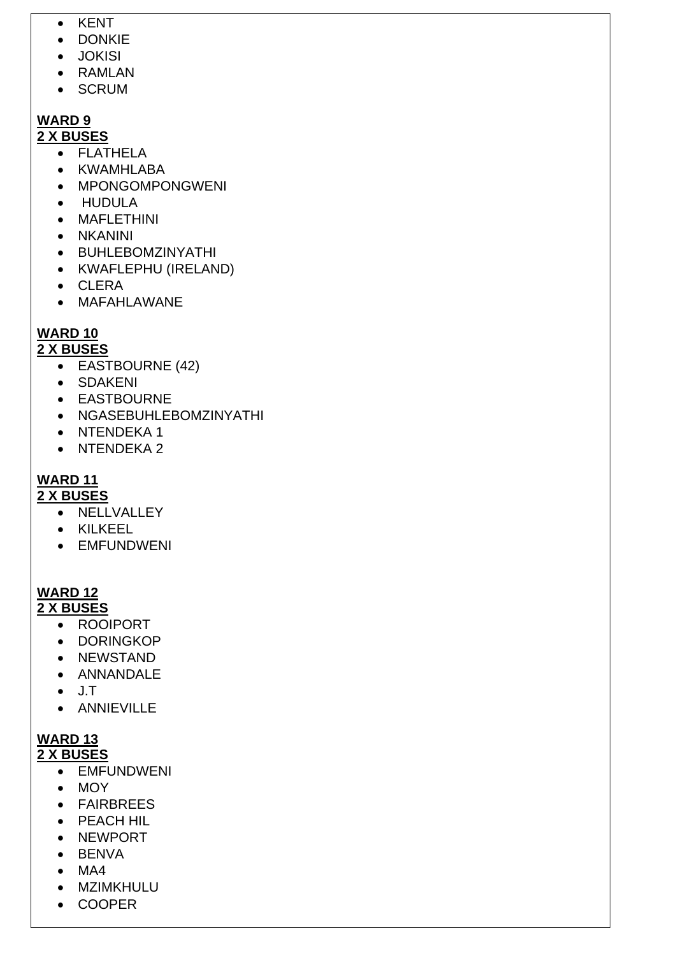- KENT
- DONKIE
- JOKISI
- RAMLAN
- SCRUM

### **WARD 9**

- **2 X BUSES** 
	- FLATHELA
	- KWAMHLABA
	- MPONGOMPONGWENI
	- HUDULA
	- MAFLETHINI
	- NKANINI
	- BUHLEBOMZINYATHI
	- KWAFLEPHU (IRELAND)
	- CLERA
	- MAFAHLAWANE

## **WARD 10**

**2 X BUSES** 

- EASTBOURNE (42)
- SDAKENI
- EASTBOURNE
- NGASEBUHLEBOMZINYATHI
- NTENDEKA 1
- NTENDEKA 2

## **WARD 11**

- **2 X BUSES** 
	- NELLVALLEY
	- KILKEEL
	- EMFUNDWENI

# **WARD 12**

**2 X BUSES** 

- ROOIPORT
- DORINGKOP
- NEWSTAND
- ANNANDALE
- J.T
- ANNIEVILLE

# **WARD 13**

- **2 X BUSES**  • EMFUNDWENI
	- MOY
	- FAIRBREES
	- PEACH HIL
	- NEWPORT
	- BENVA
	- MA4
	- MZIMKHULU
	- COOPER